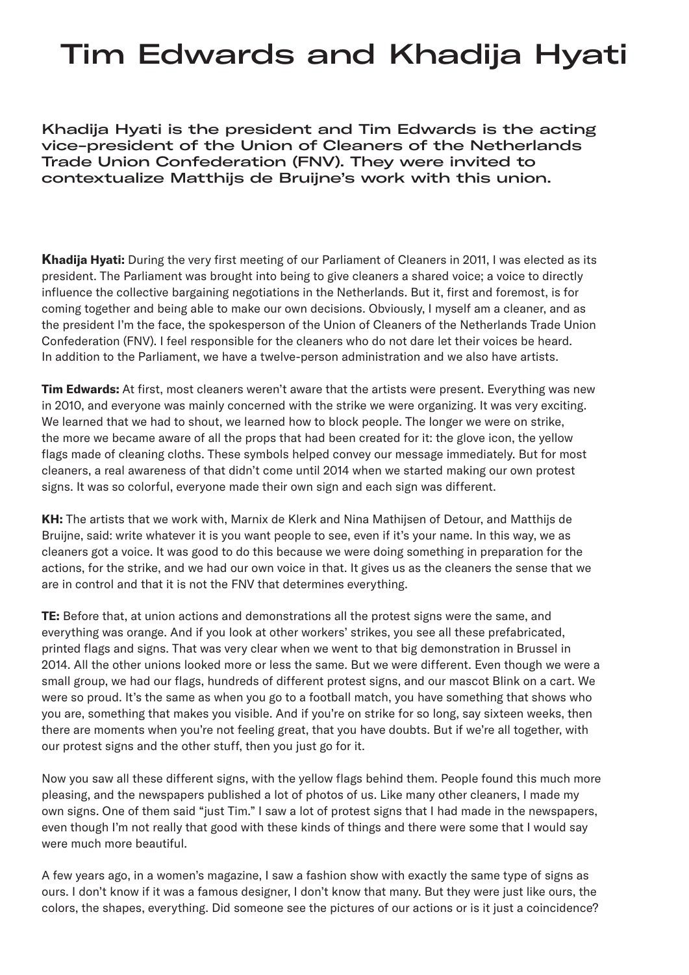## Tim Edwards and Khadija Hyati

Khadija Hyati is the president and Tim Edwards is the acting vice-president of the Union of Cleaners of the Netherlands Trade Union Confederation (FNV). They were invited to contextualize Matthijs de Bruijne's work with this union.

**Khadija Hyati:** During the very first meeting of our Parliament of Cleaners in 2011, I was elected as its president. The Parliament was brought into being to give cleaners a shared voice; a voice to directly influence the collective bargaining negotiations in the Netherlands. But it, first and foremost, is for coming together and being able to make our own decisions. Obviously, I myself am a cleaner, and as the president I'm the face, the spokesperson of the Union of Cleaners of the Netherlands Trade Union Confederation (FNV). I feel responsible for the cleaners who do not dare let their voices be heard. In addition to the Parliament, we have a twelve-person administration and we also have artists.

**Tim Edwards:** At first, most cleaners weren't aware that the artists were present. Everything was new in 2010, and everyone was mainly concerned with the strike we were organizing. It was very exciting. We learned that we had to shout, we learned how to block people. The longer we were on strike, the more we became aware of all the props that had been created for it: the glove icon, the yellow flags made of cleaning cloths. These symbols helped convey our message immediately. But for most cleaners, a real awareness of that didn't come until 2014 when we started making our own protest signs. It was so colorful, everyone made their own sign and each sign was different.

**KH:** The artists that we work with, Marnix de Klerk and Nina Mathijsen of Detour, and Matthijs de Bruijne, said: write whatever it is you want people to see, even if it's your name. In this way, we as cleaners got a voice. It was good to do this because we were doing something in preparation for the actions, for the strike, and we had our own voice in that. It gives us as the cleaners the sense that we are in control and that it is not the FNV that determines everything.

**TE:** Before that, at union actions and demonstrations all the protest signs were the same, and everything was orange. And if you look at other workers' strikes, you see all these prefabricated, printed flags and signs. That was very clear when we went to that big demonstration in Brussel in 2014. All the other unions looked more or less the same. But we were different. Even though we were a small group, we had our flags, hundreds of different protest signs, and our mascot Blink on a cart. We were so proud. It's the same as when you go to a football match, you have something that shows who you are, something that makes you visible. And if you're on strike for so long, say sixteen weeks, then there are moments when you're not feeling great, that you have doubts. But if we're all together, with our protest signs and the other stuff, then you just go for it.

Now you saw all these different signs, with the yellow flags behind them. People found this much more pleasing, and the newspapers published a lot of photos of us. Like many other cleaners, I made my own signs. One of them said "just Tim." I saw a lot of protest signs that I had made in the newspapers, even though I'm not really that good with these kinds of things and there were some that I would say were much more beautiful.

A few years ago, in a women's magazine, I saw a fashion show with exactly the same type of signs as ours. I don't know if it was a famous designer, I don't know that many. But they were just like ours, the colors, the shapes, everything. Did someone see the pictures of our actions or is it just a coincidence?